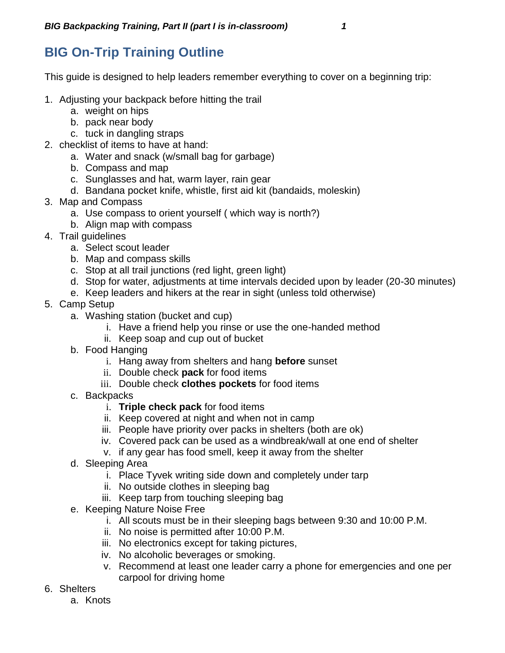## **BIG On-Trip Training Outline**

This guide is designed to help leaders remember everything to cover on a beginning trip:

- 1. Adjusting your backpack before hitting the trail
	- a. weight on hips
	- b. pack near body
	- c. tuck in dangling straps
- 2. checklist of items to have at hand:
	- a. Water and snack (w/small bag for garbage)
	- b. Compass and map
	- c. Sunglasses and hat, warm layer, rain gear
	- d. Bandana pocket knife, whistle, first aid kit (bandaids, moleskin)
- 3. Map and Compass
	- a. Use compass to orient yourself ( which way is north?)
	- b. Align map with compass
- 4. Trail guidelines
	- a. Select scout leader
	- b. Map and compass skills
	- c. Stop at all trail junctions (red light, green light)
	- d. Stop for water, adjustments at time intervals decided upon by leader (20-30 minutes)
	- e. Keep leaders and hikers at the rear in sight (unless told otherwise)
- 5. Camp Setup
	- a. Washing station (bucket and cup)
		- i. Have a friend help you rinse or use the one-handed method
		- ii. Keep soap and cup out of bucket
	- b. Food Hanging
		- i. Hang away from shelters and hang **before** sunset
		- ii. Double check **pack** for food items
		- iii. Double check **clothes pockets** for food items
	- c. Backpacks
		- i. **Triple check pack** for food items
		- ii. Keep covered at night and when not in camp
		- iii. People have priority over packs in shelters (both are ok)
		- iv. Covered pack can be used as a windbreak/wall at one end of shelter
		- v. if any gear has food smell, keep it away from the shelter
	- d. Sleeping Area
		- i. Place Tyvek writing side down and completely under tarp
		- ii. No outside clothes in sleeping bag
		- iii. Keep tarp from touching sleeping bag
	- e. Keeping Nature Noise Free
		- i. All scouts must be in their sleeping bags between 9:30 and 10:00 P.M.
		- ii. No noise is permitted after 10:00 P.M.
		- iii. No electronics except for taking pictures,
		- iv. No alcoholic beverages or smoking.
		- v. Recommend at least one leader carry a phone for emergencies and one per carpool for driving home
- 6. Shelters
	- a. Knots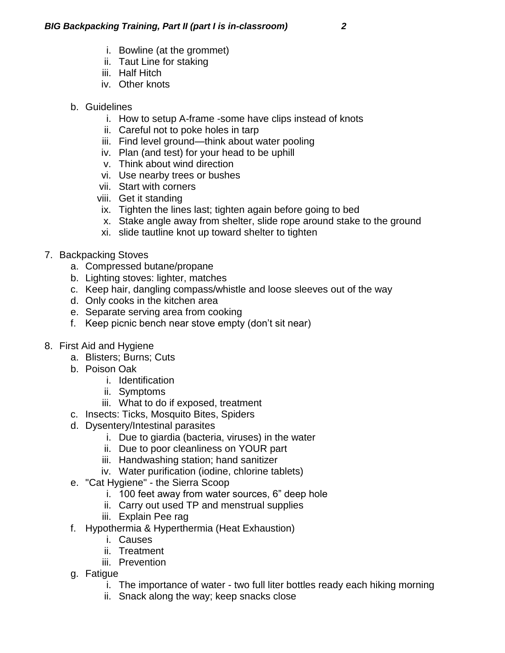- i. Bowline (at the grommet)
- ii. Taut Line for staking
- iii. Half Hitch
- iv. Other knots
- b. Guidelines
	- i. How to setup A-frame -some have clips instead of knots
	- ii. Careful not to poke holes in tarp
	- iii. Find level ground—think about water pooling
	- iv. Plan (and test) for your head to be uphill
	- v. Think about wind direction
	- vi. Use nearby trees or bushes
	- vii. Start with corners
	- viii. Get it standing
	- ix. Tighten the lines last; tighten again before going to bed
	- x. Stake angle away from shelter, slide rope around stake to the ground
	- xi. slide tautline knot up toward shelter to tighten
- 7. Backpacking Stoves
	- a. Compressed butane/propane
	- b. Lighting stoves: lighter, matches
	- c. Keep hair, dangling compass/whistle and loose sleeves out of the way
	- d. Only cooks in the kitchen area
	- e. Separate serving area from cooking
	- f. Keep picnic bench near stove empty (don't sit near)
- 8. First Aid and Hygiene
	- a. Blisters; Burns; Cuts
	- b. Poison Oak
		- i. Identification
		- ii. Symptoms
		- iii. What to do if exposed, treatment
	- c. Insects: Ticks, Mosquito Bites, Spiders
	- d. Dysentery/Intestinal parasites
		- i. Due to giardia (bacteria, viruses) in the water
		- ii. Due to poor cleanliness on YOUR part
		- iii. Handwashing station; hand sanitizer
		- iv. Water purification (iodine, chlorine tablets)
	- e. "Cat Hygiene" the Sierra Scoop
		- i. 100 feet away from water sources, 6" deep hole
		- ii. Carry out used TP and menstrual supplies
		- iii. Explain Pee rag
	- f. Hypothermia & Hyperthermia (Heat Exhaustion)
		- i. Causes
		- ii. Treatment
		- iii. Prevention
	- g. Fatigue
		- i. The importance of water two full liter bottles ready each hiking morning
		- ii. Snack along the way; keep snacks close